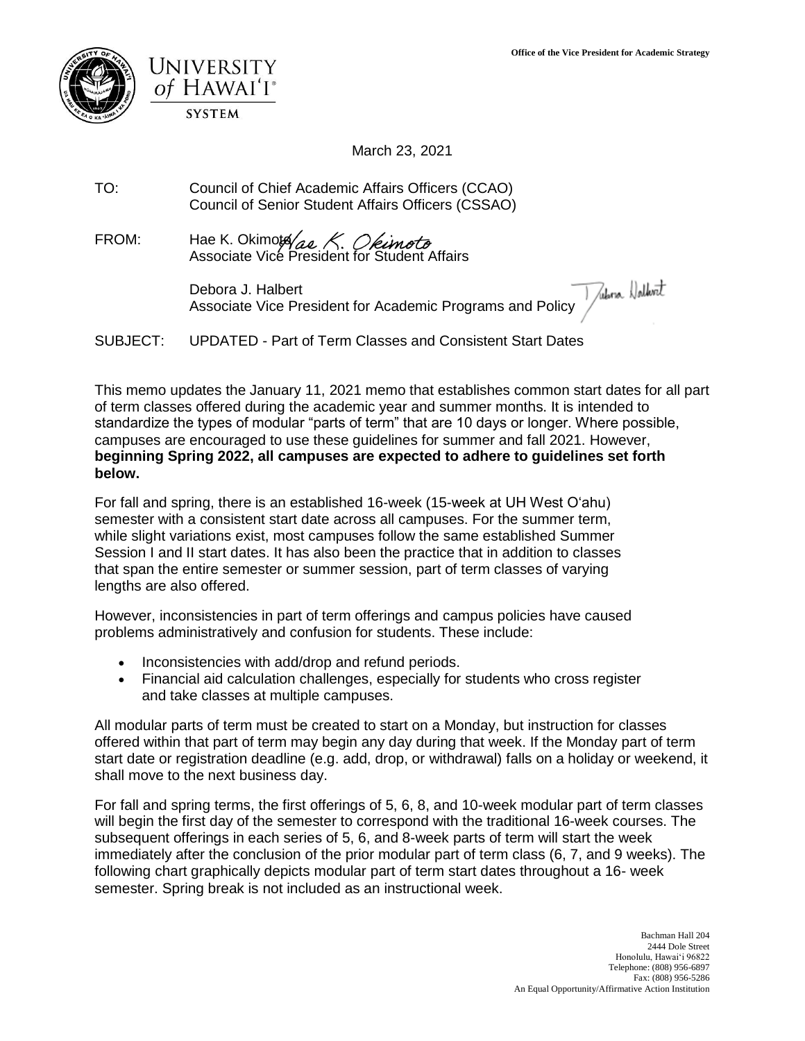



March 23, 2021

TO: Council of Chief Academic Affairs Officers (CCAO) Council of Senior Student Affairs Officers (CSSAO)

FROM: Hae K. Okimota Associate Vicé President for Student Affairs

> Debora J. Halbert Associate Vice President for Academic Programs and Policy

SUBJECT: UPDATED - Part of Term Classes and Consistent Start Dates

This memo updates the January 11, 2021 memo that establishes common start dates for all part of term classes offered during the academic year and summer months. It is intended to standardize the types of modular "parts of term" that are 10 days or longer. Where possible, campuses are encouraged to use these guidelines for summer and fall 2021. However, **beginning Spring 2022, all campuses are expected to adhere to guidelines set forth below.**

For fall and spring, there is an established 16-week (15-week at UH West Oʻahu) semester with a consistent start date across all campuses. For the summer term, while slight variations exist, most campuses follow the same established Summer Session I and II start dates. It has also been the practice that in addition to classes that span the entire semester or summer session, part of term classes of varying lengths are also offered.

However, inconsistencies in part of term offerings and campus policies have caused problems administratively and confusion for students. These include:

- Inconsistencies with add/drop and refund periods.
- Financial aid calculation challenges, especially for students who cross register and take classes at multiple campuses.

All modular parts of term must be created to start on a Monday, but instruction for classes offered within that part of term may begin any day during that week. If the Monday part of term start date or registration deadline (e.g. add, drop, or withdrawal) falls on a holiday or weekend, it shall move to the next business day.

For fall and spring terms, the first offerings of 5, 6, 8, and 10-week modular part of term classes will begin the first day of the semester to correspond with the traditional 16-week courses. The subsequent offerings in each series of 5, 6, and 8-week parts of term will start the week immediately after the conclusion of the prior modular part of term class (6, 7, and 9 weeks). The following chart graphically depicts modular part of term start dates throughout a 16- week semester. Spring break is not included as an instructional week.